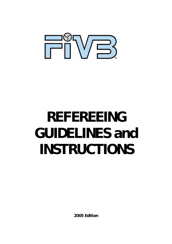

# **REFEREEING GUIDELINES and INSTRUCTIONS**

**2005 Edition**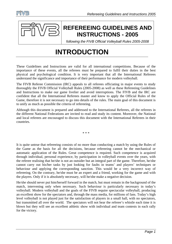



### **REFEREEING GUIDELINES AND INSTRUCTIONS - 2005**

*following the FIVB Official Volleyball Rules 2005-2008* 

## **INTRODUCTION**

These Guidelines and Instructions are valid for all international competitions. Because of the importance of these events, all the referees must be prepared to fulfil their duties in the best physical and psychological condition. It is very important that all the International Referees understand the significance and importance of their performance for modern volleyball.

The FIVB Referee Commission (IRC) appeals to all referees officiating in major events to study thoroughly the FIVB Official Volleyball Rules (2005-2008) as well as these Refereeing Guidelines and Instructions to make our game livelier and avoid interruptions. The FIVB and the IRC are confident that all the International Referees master and know to apply the Official Rules of the Game, therefore it is not necessary to go into details of the rules. The main goal of this document is to unify as much as possible the criteria of refereeing.

Although this document is prepared and addressed to the International Referees, all the referees in the different National Federations are invited to read and study its content. Moreover, the National and local referees are encouraged to discuss this document with the International Referees in their countries.

\* \* \*

It is quite untrue that refereeing consists of no more than conducting a match by using the Rules of the Game as the basis for all the decisions, because refereeing cannot be the mechanical or automatic application of the Rules. Great competence is required. Such competence is acquired through individual, personal experience, by participation in volleyball events over the years, with the referee realising that he/she is not an outsider but an integral part of the game. Therefore, he/she cannot carry out his/her tasks by just looking for faults in teams' and players' techniques or behaviour and applying the corresponding sanction. This would be a very incorrect way of refereeing. On the contrary, he/she must be an expert and a friend, working for the game and with the players. Only if it is absolutely necessary, will he/she make a negative decision.

He/she should never put him/herself forward in the match, but must remain in the background of the match, intervening only when necessary. Such behaviour is particularly necessary in today's volleyball. Modern volleyball and the goals of the FIVB require spectacular volleyball, producing an excellent show for the spectators and, through the mass media, for millions of fans. Today's high level volleyball is not played just for the satisfaction of players in a small hall, with no spectators, but transmitted all over the world. The spectators will not hear the referee's whistle each time it is blown but they will see an excellent athletic show with individual and team contests in each rally for the victory.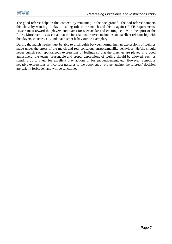The good referee helps in this context, by remaining in the background. The bad referee hampers this show by wanting to play a leading role in the match and this is against FIVB requirements. He/she must reward the players and teams for spectacular and exciting actions in the spirit of the Rules. Moreover it is essential that the international referee maintains an excellent relationship with the players, coaches, etc. and that his/her behaviour be exemplary.

During the match he/she must be able to distinguish between normal human expressions of feelings made under the stress of the match and real conscious unsportsmanlike behaviour. He/she should never punish such spontaneous expressions of feelings so that the matches are played in a good atmosphere; the teams' reasonable and proper expressions of feeling should be allowed, such as standing up to cheer for excellent play actions or for encouragement, etc. However, conscious negative expressions or incorrect gestures to the opponent or protest against the referees' decision are strictly forbidden and will be sanctioned.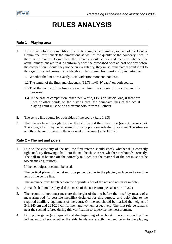

### **RULES ANALYSIS**

#### **Rule 1 – Playing area**

- 1. Two days before a competition, the Refereeing Subcommittee, as part of the Control Committee, must check the dimensions as well as the quality of the boundary lines. If there is no Control Committee, the referees should check and measure whether the actual dimensions are in due conformity with the prescribed ones at least one day before the competition. Should they notice an irregularity, they must immediately point it out to the organizers and ensure its rectification. The examination must verify in particular:
	- 1.1 Whether the lines are exactly 5 cm wide (not more and not less).
	- 1.2 The length of the lines and diagonals (12.73 m/41' 9' each) on both courts.
	- 1.3 That the colour of the lines are distinct from the colours of the court and the free zone.
	- 1.4 In the case of competition, other then World, FIVB or Official one, if there are lines of other courts on the playing area, the boundary lines of the actual playing court must be of a different colour from all others.
- 2. The centre line counts for both sides of the court. (Rule 1.3.3)
- 3. The players have the right to play the ball beyond their free zone (except the service). Therefore, a ball may be recovered from any point outside their free zone. The situation and the rule are different in the opponent's free zone (Rule 10.1.2).

#### **Rule 2 – The net and posts**

1. Due to the elasticity of the net, the first referee should check whether it is correctly tightened. By throwing a ball into the net, he/she can see whether it rebounds correctly. The ball must bounce off the correctly taut net, but the material of the net must not be too elastic (e.g. rubber).

If the net bulges, it cannot be used.

 The vertical plane of the net must be perpendicular to the playing surface and along the axis of the centre line.

The antennae must be placed on the opposite sides of the net and not in its middle..

- 2. A match shall not be played if the mesh of the net is torn (see also rule 10.3.2).
- 3. The second referee must measure the height of the net before the 'toss' by means of a measuring rod (if possible metallic) designed for this purpose and belonging to the required auxiliary equipment of the court. On the rod should be marked the heights of 243/245 cm and 224/226 cm for men and women respectively. The first referee remains near the second referee during this verification to supervise the measurement.
- 4. During the game (and specially at the beginning of each set), the corresponding line judges must check whether the side bands are exactly perpendicular to the playing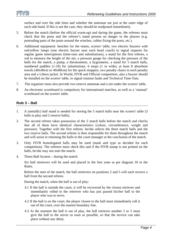surface and over the side lines and whether the antennae are just at the outer edge of each side band. If this is not the case, they should be readjusted immediately.

- 5. Before the match (before the official warm-up) and during the game, the referees must check that the posts and the referee's stand present no danger to the players (e.g. protruding parts of the posts around the winches, cables fixing the posts, etc.).
- 6. Additional equipment: benches for the teams, scorers' table, two electric buzzers with red/yellow lamps (one electric buzzer near each head coach) to signal requests for regular game interruptions (time-outs and substitutions), a stand for the first referee, a rod to measure the height of the net, a pressure gauge for checking the pressure of the balls for the match, a pump, a thermometer, a hygrometer, a stand for 5 match balls, numbered paddles (1-18) for substitutions, 6 mops (1 m wide), at least 8 absorbent towels (40x40cm or 40x80cm) for the quick moppers, two penalty chairs in each penalty area and a Libero jacket. In World, FIVB and Official competition, also a buzzer should be installed on the scorers' table, to signal rotation faults and Technical Time Outs.
- 7. The organiser must also provide two reserve antennae and a net under the scorers' table.
- 8. An electronic scoreboard is compulsory for international matches, as well as a 'manual' scoreboard on the scorers' table.

#### **Rule 3 – Ball**

- 1. A (metallic) ball stand is needed for storing the 5 match balls near the scorers' table (3 balls in play and 2 reserve balls).
- 2. The second referee takes possession of the 5 match balls before the match and checks that all of them have identical characteristics (colour, circumference, weight and pressure). Together with the first referee, he/she selects the three match balls and the two reserve balls. The second referee is then responsible for them throughout the match and will assist in returning the balls to the court manager at the conclusion of the match.
- 3. Only FIVB homologated balls may be used (mark and type as decided for each competition). The referees must check this and if the FIVB stamp is not printed on the balls, he/she may not start the match.
- 4. Three-Ball System during the match:

 Six ball retrievers will be used and placed in the free zone as per diagram 10 in the Rules.

 Before the start of the match, the ball retrievers on positions 2 and 5 will each receive a ball from the second referee.

During the match, when the ball is out of play:

- 4.1 If the ball is outside the court, it will be recovered by the closest retriever and immediately rolled to the retriever who has just passed his/her ball to the player who was to serve.
- 4.2 If the ball is on the court, the player closest to the ball must immediately roll it out of the court, over the nearest boundary line.
- 4.3 At the moment the ball is out of play, the ball retriever number 2 or 5 must give the ball to the server as soon as possible, so that the service can take place without any delay.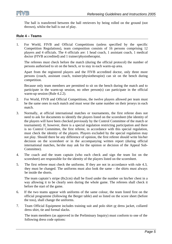

 The ball is transferred between the ball retrievers by being rolled on the ground (not thrown), whilst the ball is out of play.

#### **Rule 4 – Teams**

1. For World, FIVB and Official Competitions (unless specified by the specific Competition Regulations), team composition consists of 16 persons comprising 12 players and 4 officials. The 4 officials are: 1 head coach, 1 assistant coach, 1 medical doctor (FIVB accredited) and 1 trainer/physiotherapist.

 The referees must check before the match (during the official protocol) the number of persons authorised to sit on the bench, or to stay in each warm-up area.

 Apart from the registered players and the FIVB accredited doctor, only three more persons (coach, assistant coach, trainer/physiotherapist) can sit on the bench during competition.

 Because only team members are permitted to sit on the bench during the match and to participate in the warm-up session, no other person(s) can participate in the official warm-up session (Rule 4.2.2).

- 2. For World, FIVB and Official Competitions, the twelve players allowed per team must be the same ones in each match and must wear the same number on their jerseys in each match.
- 3. Normally, at official international matches or tournaments, the first referee does not need to ask for documents to identify the players listed on the scoresheet (the identity of the players will have been checked previously by the Control Committee of the match or tournament). If, however, there is a special regulation restricting participation and there is no Control Committee, the first referee, in accordance with this special regulation, must check the identity of the players. Players excluded by the special regulation may not play. Should there be any difference of opinion, the first referee should write his/her decision on the scoresheet or in the accompanying written report (during official international matches, he/she may ask for the opinion or decision of the Appeal Sub-Committee).
- 4. The coach and the team captain (who each check and sign the team list on the scoresheet) are responsible for the identity of the players listed on the scoresheet.
- 5. The first referee must check the uniforms. If they are not in accordance with rule 4.3, they must be changed. The uniforms must also look the same – the shirts must always be inside the shorts.

 The team captain's stripe (8x2cm) shall be fixed under the number on his/her chest in a way allowing it to be clearly seen during the whole game. The referees shall check it before the start of the game.

- 6. If the two teams appear with uniforms of the same colour, the team listed first on the official programme (following the Berger table) and so listed on the score sheet (before the toss), shall change the uniforms.
- 7. Team Official Equipment includes training suit and polo shirt or dress jacket, collared dress shirt, tie and formal slacks.

 The team members (as approved in the Preliminary Inquiry) must conform to one of the following dress code options: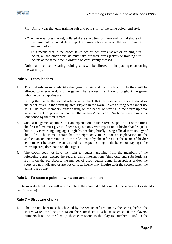

- 7.1 All to wear the team training suit and polo shirt of the same colour and style, *or*
- 7.2 All to wear dress jacket, collared dress shirt, tie (for men) and formal slacks of the same colour and style except the trainer who may wear the team training suit and polo shirt.

This means that if the coach takes off his/her dress jacket or training suit jacket, all the other officials must take off their dress jackets or training suit jackets at the same time in order to be consistently dressed.

Only team members wearing training suits will be allowed on the playing court during the warm-up.

#### **Rule 5 – Team leaders**

- 1. The first referee must identify the game captain and the coach and only they will be allowed to intervene during the game. The referees must know throughout the game, who the game captains are.
- 2. During the match, the second referee must check that the reserve players are seated on the bench or are in the warm-up area. Players in the warm-up area during sets cannot use balls. The team members, either sitting on the bench or staying in the warm-up area, have no right to protest or contest the referees' decisions. Such behaviour must be sanctioned by the first referee.
- 3. Should the game captain ask for an explanation on the referee's application of the rules, the first referee must give it, if necessary not only with repetition of his/her hand signals, but in FIVB working language (English), speaking briefly, using official terminology of the Rules. The game captain has the right only to ask for an explanation on the application or interpretation of the rules made by the referees in the name of his/her team-mates (therefore, the substituted team captain sitting on the bench, or staying in the warm-up area, does not have this right).
- 4. The coach does not have the right to request anything from the members of the refereeing corps, except the regular game interruptions (time-outs and substitutions). But, if on the scoreboard, the number of used regular game interruptions and/or the score are not indicated or are not correct, he/she may inquire with the scorer, when the ball is out of play.

#### **Rule 6 – To score a point, to win a set and the match**

If a team is declared in default or incomplete, the scorer should complete the scoresheet as stated in the Rules (6.4).

#### **Rule 7 – Structure of play**

1. The line-up sheet must be checked by the second referee and by the scorer, before the scorer writes the line-up data on the scoresheet. He/She must check if the players' numbers listed on the line-up sheet correspond to the players' numbers listed on the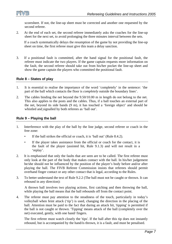

scoresheet. If not, the line-up sheet must be corrected and another one requested by the second referee.

2. At the end of each set, the second referee immediately asks the coaches for the line-up sheet for the next set, to avoid prolonging the three minutes interval between the sets.

 If a coach systematically delays the resumption of the game by not providing the line-up sheet on time, the first referee must give this team a delay sanction.

3. If a positional fault is committed, after the hand signal for the positional fault, the referee must indicate the two players. If the game captain requests more information on the fault, the second referee should take out from his/her pocket the line-up sheet and show the game captain the players who committed the positional fault.

#### **Rule 8 – States of play**

- 1. It is essential to realise the importance of the word 'completely' in the sentence: 'the part of the ball which contacts the floor is *completely* outside the boundary lines'.
- 2. The cables binding the net beyond the 9.50/10.00 m in length do not belong to the net. This also applies to the posts and the cables. Thus, if a ball touches an external part of the net, beyond its side bands (9 m), it has touched a 'foreign object' and should be whistled and signalled by both referees as 'ball out'.

#### **Rule 9 – Playing the ball**

- 1. Interference with the play of the ball by the line judge, second referee or coach in the free zone:
	- If the ball strikes the official or coach, it is 'ball out' (Rule 8.4.2).
	- If the player takes assistance from the official or coach for the contact, it is the fault of the player (assisted hit, Rule 9.1.3) and will not result in a 'replay'.
- 2. It is emphasised that only the faults that are seen are to be called. The first referee must only look at the part of the body that makes contact with the ball. In his/her judgement he/she should not be influenced by the position of the player's body before and/or after playing the ball. The FIVB Referee Commission insists that referees should permit overhand finger contact or any other contact that is legal, according to the Rules.
- 3. To better understand the text of Rule 9.2.2 (The ball must not be caught or thrown. It can rebound in any direction):

A thrown ball involves two playing actions, first catching and then throwing the ball, while playing the ball means that the ball rebounds off from the contact point.

4. The referee must pay attention to the steadiness of the touch, particularly in today's volleyball when feint attack ('tip') is used, changing the direction in the placing of the ball. Attention must be paid to the fact that during an attack hit, 'tipping' is permitted if the ball is not caught or thrown. 'Tipping' means attack of the ball (completely over the net) executed, gently, with one hand/ fingers.

 The first referee must watch closely the 'tips'. If the ball after this tip does not instantly rebound, but is accompanied by the hand/is thrown, it is a fault, and must be penalised.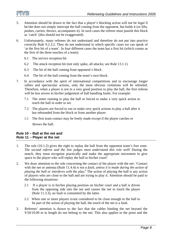

- 5. Attention should be drawn to the fact that a player's blocking action will not be legal if he/she does not simply intercept the ball coming from the opponent, but holds it (or lifts, pushes, carries, throws, accompanies it). In such cases the referee must punish this block as 'catch' (this should not be exaggerated).
- 6. Unfortunately, many referees do not understand and therefore do not put into practice correctly Rule 9.2.3.2. They do not understand in which specific cases we can speak of 'at the first hit of a team'. In four different cases the team has a first hit (which counts as the first of the three touches of a team):
	- 6.1 The service reception hit
	- 6.2 The attack reception hit (not only spike, all attacks; see Rule 13.1.1)
	- 6.3 The hit of the ball coming from opponent's block
	- 6.4 The hit of the ball coming from the team's own block.
- 7. In accordance with the spirit of international competitions and to encourage longer rallies and spectacular actions, only the most obvious violations will be whistled. Therefore, when a player is not in a very good position to play the ball, the first referee will be less severe in his/her judgement of ball handling faults. For example:
	- 7.1 The setter running to play the ball or forced to make a very quick action to reach the ball in order to set.
	- 7.2 The players are forced to run or make very quick actions to play a ball after it has rebounded from the block or from another player.
	- 1.1 The first team contact may be freely made except if the player catches or throws the ball.

#### **Rule 10 – Ball at the net and Rule 11 – Player at the net**

- 1. The rule (10.1.2) gives the right to replay the ball from the opponent team's free zone. *The second referee and the line judges must understand this rule well!* During the match, they must recognise practically and make the appropriate movement to give space to the player who will replay the ball to his/her court!
- 2. We draw attention to the rule concerning the contact of the player with the net: 'Contact with the net or antenna (Rule 11.4.4) *is not a fault, unless it is made during the action of playing the ball or interferes with the play***.'** The action of playing the ball is any action of players who are close to the ball and are trying to play it. Attention should be paid to the following situations:
	- 2.1 If a player is in his/her playing position on his/her court and a ball is driven from the opposing side into the net and causes the net to touch the player (Rule 11.3.3), no fault is committed by the latter.
	- 2.2 When one or more players is/are considered to be close enough to the ball to be part of the action of playing the ball, the touch of the net is a fault.
- 3. Referees' attention is drawn to the fact that the cables binding the net beyond the 9.50/10.00 m in length do not belong to the net. This also applies to the posts and the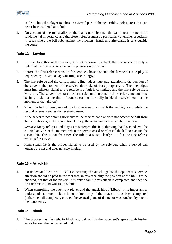

cables. Thus, if a player touches an external part of the net (cables, poles, etc.), this can never be considered as a fault

4. On account of the top quality of the teams participating, the game near the net is of fundamental importance and therefore, referees must be particularly attentive, especially in cases where the ball rubs against the blockers' hands and afterwards is sent outside the court.

#### **Rule 12 – Service**

- 1. In order to authorize the service, it is not necessary to check that the server is ready only that the player to serve is in the possession of the ball.
- 2. Before the first referee whistles for services, he/she should check whether a re-play is requested by TV and delay whistling, accordingly.
- 3. The first referee and the corresponding line judges must pay attention to the position of the server at the moment of the service hit or take off for a jump service. The line judges must immediately signal to the referee if a fault is committed and the first referee must whistle it. The server may start his/her service motion outside the service zone but must be fully inside at the time of contact (or must be fully inside the service zone at the moment of the take-off).
- 4. When the ball is being served, the first referee must watch the serving team, while the second referee watches the receiving team.
- 5. If the server is not coming normally to the service zone or does not accept the ball from the ball retriever, making intentional delay, the team can receive a delay sanction.

*Remark:* Many referees and players misinterpret this text, thinking that 8 seconds will be counted only from the moment when the server tossed or released the ball to execute the service hit. This is not the case! The rule text states clearly: '…after the first referee whistles for service'.

6. Hand signal 19 is the proper signal to be used by the referees, when a served ball touches the net and does not stay in play.

#### **Rule 13 – Attack hit**

- 1. To understand better rule 13.2.4 concerning the attack against the opponent's service, attention should be paid to the fact that, in this case only the position of the **ball** is to be checked, not that of the players. It is only a fault if this attack is completed and then the first referee should whistle this fault.
- 2. When controlling the back row player and the attack hit of 'Libero', it is important to understand that such a fault is committed only if the attack hit has been completed (either the ball completely crossed the vertical plane of the net or was touched by one of the opponents).

#### **Rule 14 – Block**

1. The blocker has the right to block any ball within the opponent's space; with his/her hands beyond the net provided that: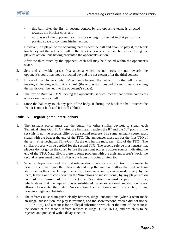

- this ball, after the first or second contact by the opposing team, is directed towards the blocker court and
- no player of the opponent team is close enough to the net in that part of the playing space to continue his/her action.

 However, if a player of the opposing team is near the ball and about to play it, the block touch beyond the net is a fault if the blocker contacts the ball before or during the player's action, thus having prevented the opponent's action.

 After the third touch by the opponent, each ball may be blocked within the opponent's space.

- 2. Sets and allowable passes (*not* attacks) which do not cross the net towards the opponent's court may not be blocked beyond the net except after the third contact.
- 3. If one of the blockers puts his/her hands beyond the net and hits the ball instead of making a blocking action, it is a fault (the expression 'beyond the net' means reaching the hands over the net into the opponent's space).
- 4. The text of Rule 14.6.3: 'Blocking the opponent's service' means that he/she completes a block on a service ball.
- 5. Since the ball may touch any part of the body, if during the block the ball touches the feet, it is not a fault and it is still a block!

#### **Rule 15 – Regular game interruptions**

- 1. The assistant scorer must use the buzzer (or other similar device); to signal each Technical Time Out (TTO), after the first team reaches the  $8<sup>th</sup>$  and the  $16<sup>th</sup>$  points in the set (this is not the responsibility of the second referee). The same assistant scorer must signal with the buzzer the end of the TTO. The announcer must say for the first TTO of the set: 'First Technical Time-Out'. At the end he/she must say: 'End of the TTO'. The similar process will be applied for the second TTO. The second referee must ensure that players do not go on the court, before the assistant scorer's buzzer sounds indicating the end of the TTO. Naturally, if there is some problem with the assistant scorer's work, the second referee must check his/her work from this point of view too.
- 2. When a player is injured, the first referee should ask for a substitution to be made. In case of a serious injury the referees should stop the game and allow the medical team staff to enter the court. Exceptional substitution due to injury can be made, freely, by the team, leaving out of consideration the 'limitations of substitutions', by any player not on court **at the moment of the injury** (Rule 15.7). Attention must be paid to the rule, which states that the injured player substituted by an exceptional substitution is not allowed to re-enter the match. An exceptional substitution cannot be counted, in any case, as a regular substitution.
- 3. The referees must distinguish clearly between illegal substitutions (when a team made an illegal substitution, the play is resumed, and the scorer/second referee did not notice it, Rule 15.6), and a request for an illegal substitution which, at the time of the request, the scorer or the second referee realises is illegal (Rule 16.1.3) and which is to be rejected and punished with a delay sanction.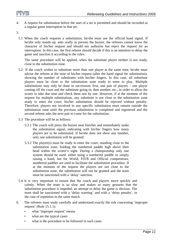

4. A request for substitution before the start of a set is permitted and should be recorded as a regular game interruption in that set.

5.

5.1 When the coach requests a substitution, he/she must use the official hand signal. If he/she only stands up, asks orally or presses the buzzer, the referees cannot know the character of his/her request and should not authorise but reject the request for an interruption. In this case, the first referee should decide if this is an intention to delay the game and sanction it according to the rules.

The same procedure will be applied, when the substitute player neither is nor ready, close to the substitution zone.

- 5.2 If the coach wishes to substitute more than one player at the same time, he/she must advise the referee at the time of his/her request (after the hand signal for substitution), showing the number of substitutes with his/her fingers. In this case, all substitute players must be close to the substitution zone ready to enter to play. Multiple substitutions may only be done in succession: first, one pair of players – one player coming off the court and the substitute going in, then another, etc., in order to allow the scorer to take due note and check them one by one. However, if at the moment of the request for multiple substitutions, any substitute is not close to the substitution zone ready to enter the court, his/her substitution should be rejected without penalty. Therefore, players not involved in any specific substitution must remain outside the substitution zone until the previous substitution is completed and registered and the second referee asks the next pair to come for the substitution.
- 5.3 The procedure will be as follows:
	- 5.3.1 The coach will press the buzzer near him/her and immediately make the substitution signal, indicating with his/her fingers how many players are to be substituted. If he/she does not show any number, only one substitution will be granted.
	- 5.3.2 The player(s) must be ready to enter the court, standing close to the substitution zone, holding the numbered paddle high above their head within the scorer's sight. During a championship only one system should be used: either using a numbered paddle or simply raising a hand, but for World, FIVB and Official competitions, numbered paddles are used to facilitate the substitution procedure. If at the moment of the request the players are not close to the substitution zone, the substitution will not be granted and the team must be sanctioned with a 'delay' sanction.
- 5.4 It is very important to ensure that the coach and players move quickly and calmly. When the team is so slow and makes so many gestures that the substitution procedure is impeded, an attempt to delay the game is obvious. The team shall be sanctioned with a 'delay warning' and with a 'delay penalty', in the case of repetition in the same match.
- 6. The referees must study carefully and understand exactly the rule concerning 'improper request' (Rule 15.1.1):
	- what 'improper request' means
	- what are the typical cases
	- what is the procedure to be followed in such cases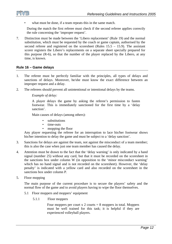

what must be done, if a team repeats this in the same match.

 During the match the first referee must check if the second referee applies correctly the rule concerning the 'improper request'.

7. Distinction must be made between the 'Libero replacement' (Rule 19) and the normal substitution, which must be requested by the coach or game captain, authorised by the second referee and registered on the scoresheet (Rules  $15.5 - 15.9$ ). The assistant scorer registers the Libero's replacements on a separate sheet specially prepared for this purpose (R-6), so that the number of the player replaced by the Libero, at any time, is known.

#### **Rule 16 – Game delays**

- 1. The referee must be perfectly familiar with the principles, all types of delays and sanctions of delays. Moreover, he/she must know the exact difference between an improper request and a delay.
- 2. The referees should prevent all unintentional or intentional delays by the teams.

#### *Example of delay:*

 A player delays the game by asking the referee's permission to fasten footwear. This is immediately sanctioned for the first time by a 'delay sanction'.

Main causes of delays (among others):

- substitutions
- time-outs
- mopping the floor

Any player requesting the referee for an interruption to lace his/her footwear shows his/her intention to delay the game and must be subject to a 'delay sanction'.

- 3. Sanctions for delays are against the team, not against the misconduct of a team member; this is also the case when just one team member has caused the delay.
- 4. Attention must be drawn to the fact that the 'delay warning' is only indicated by a hand signal (number 25) without any card, but that it must be recorded on the scoresheet in the sanctions box under column W (in opposition to the 'minor misconduct warning' which has no hand signal and is not recorded on the scoresheet). However, the 'delay penalty' is indicated with a yellow card and also recorded on the scoresheet in the sanctions box under column P.
- 5. Floor mopping

The main purpose of the current procedure is to secure the players' safety and the normal flow of the game and to avoid players having to wipe the floor themselves.

- 5.1 Floor moppers and moppers' equipment
	- 5.1.1 Floor moppers

Four moppers per court  $x \, 2$  courts  $x = 8$  moppers in total. Moppers must be well trained for this task; it is helpful if they are experienced volleyball players.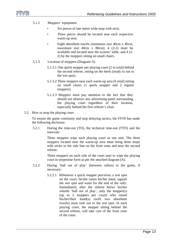

- 5.1.2 Moppers' equipment
	- Six pieces of one metre wide mop with stick.
	- Three pieces should be located near each respective warm-up area.
	- Eight absorbent towels (minimum size 40cm x 40cm, maximum size  $40cm \times 80cm$ ;  $4(2-2)$  must be available and located near the scorers' table, and 4 (2- 2) by the moppers sitting on small chairs.
- 5.1.3 Location of moppers (Diagram A)
	- 5.1.3.1 One quick mopper per playing court (2 in total) behind the second referee, sitting on the heels (ready to run to the wet spot).
	- 5.1.3.2 Three moppers near each warm-up area (6 total) sitting on small chairs (1 quick mopper and 2 regular moppers).
	- 5.1.3.3 Moppers must pay attention to the fact that they should not obstruct any advertising panel surrounding the playing court regardless of their location, especially behind the first referee's chair.
- 5.2 How to mop the playing court

 To ensure the game continuity and stop delaying tactics, the FIVB has made the following decisions:

5.2.1 During the time-out (TO), the technical time-out (TTO) and the intervals:

> Three moppers wipe each playing court as one unit. The three moppers located near the warm-up area must bring three mops with sticks to the side line on the front zone and near the second referee.

> Three moppers on each side of the court start to wipe the playing court in serpentine form as per the attached diagram (A).

- 5.2.2 During 'ball out of play' (between rallies) in the game, if necessary:
	- 5.2.2.1 Whenever a quick mopper perceives a wet spot on the court, he/she raises his/her hand, signals the wet spot and waits for the end of the rally. Immediately after the referee blows his/her whistle 'ball out of play', only the mopper(s) (up to 2 moppers per court) who raised his/her/their hand(s) (with two absorbent towels) must rush out to the wet spot. In each playing court, the mopper sitting behind the second referee, will take care of the front zone of the court.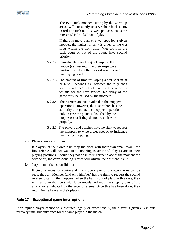

 The two quick moppers sitting by the warm-up areas, will constantly observe their back court, in order to rush out to a wet spot, as soon as the referee whistles 'ball out of play'.

 If there is more than one wet spot for a given mopper, the highest priority is given to the wet spots within the front zone. Wet spots in the back court or out of the court, have second priority.

- 5.2.2.2 Immediately after the quick wiping, the mopper(s) must return to their respective position, by taking the shortest way to run off the playing court.
- 5.2.2.3 The amount of time for wiping a wet spot must be 6 to 8 seconds, i.e. between the rally ends with the referee's whistle and the first referee's whistle for the next service. No delay of the game must be caused by the moppers.
- 5.2.2.4 The referees are not involved in the moppers' operations. However, the first referee has the authority to regulate the moppers' operation, only in case the game is disturbed by the mopper(s), or if they do not do their work properly.
- 5.2.2.5 The players and coaches have no right to request the moppers to wipe a wet spot or to influence them when mopping.
- 5.3 Players' responsibilities

 If players, at their own risk, mop the floor with their own small towel, the first referee will not wait until mopping is over and players are in their playing positions. Should they not be in their correct place at the moment the service hit, the corresponding referee will whistle the positional fault.

5.4 Jury member's responsibilities

 If circumstances so require and if a slippery part of the attack zone can be seen, the Jury Member (and only him/her) has the right to request the second referee to call in the moppers, when the ball is out of play. In this case, they will run onto the court with large towels and mop the slippery part of the attack zone indicated by the second referee. Once this has been done, they return immediately to their places.

#### **Rule 17 – Exceptional game interruptions**

If an injured player cannot be substituted legally or exceptionally, the player is given a 3 minute recovery time, but only once for the same player in the match.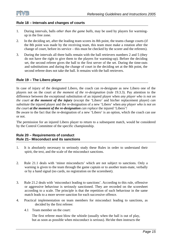

#### **Rule 18 – Intervals and changes of courts**

- 1. During intervals, balls *other than the game balls*, may be used by players for warmingup in the free zone.
- 2. In the deciding set, after the leading team scores its 8th point, the teams change courts (if the 8th point was made by the receiving team, this team must make a rotation after the change of court, before its service – this must be checked by the scorer and the referees).
- 3. During the intervals all three balls remain with the ball retrievers numbers 2 and 5 (they do not have the right to give them to the players for warming-up). Before the deciding set, the second referee gives the ball to the first server of the set. During the time-outs and substitutions and during the change of court in the deciding set at the 8th point, the second referee does not take the ball. It remains with the ball retrievers.

#### **Rule 19 – The Libero player**

In case of injury of the designated Libero, the coach can re-designate as new Libero one of the players not on the court *at the moment of the re-designation* (rule 19.3.3). Pay attention to the difference between the exceptional substitution of an injured player when *any player who is not on the court at the moment of the injury* (except the 'Libero' and his/her replacement player) *can substitute* the injured player and the re-designation of a new 'Libero' when *any player who is not on the court at the moment of the re-designation can replace* the injured 'Libero'!

Be aware to the fact that the re-designation of a new 'Libero' is an option, which the coach can use or not.

The permission for an injured Libero player to return to a subsequent match, would be considered by the Control Committee of the specific championship.

#### **Rule 20 – Requirements of conduct Rule 21– Misconduct and its sanctions**

- 1. It is absolutely necessary to seriously study these Rules in order to understand their spirit, the text, and the scale of the misconduct sanctions.
- 2. Rule 21.1 deals with 'minor misconducts' which are not subject to sanctions. Only a warning is given to the team through the game captain or to another team-mate, verbally or by a hand signal (no cards, no registration on the scoresheet).
- 3. Rule 21.2 deals with 'misconduct leading to sanctions'. According to this rule, offensive or aggressive behaviour is seriously sanctioned. They are recorded on the scoresheet according to a scale. The principle is that the repetition of such behaviour in the same match leads to a more severe sanction for each successive offence.
- 4. Practical implementation on team members for misconduct leading to sanctions, as decided by the first referee:
	- 4.1 Team member on the court:

 The first referee must blow the whistle (usually when the ball is out of play, but as soon as possible when misconduct is serious). He/she then instructs the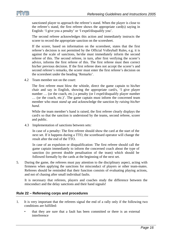

sanctioned player to approach the referee's stand. When the player is close to the referee's stand, the first referee shows the appropriate card(s) saying in English: 'I give you a penalty' or 'I expel/disqualify you'.

 The second referee acknowledges this action and immediately instructs the scorer to record the appropriate sanction on the scoresheet.

 If the scorer, based on information on the scoresheet, states that the first referee's decision is not permitted by the Official Volleyball Rules, e.g. it is against the scale of sanctions, he/she must immediately inform the second referee of this. The second referee, in turn, after first verifying the scorer's advice, informs the first referee of this. The first referee must then correct his/her previous decision. If the first referee does not accept the scorer's and second referee's remarks, the scorer must enter the first referee's decision on the scoresheet under the heading 'Remarks'.

4.2 Team member not on the court:

 The first referee must blow the whistle, direct the game captain to his/her chair and say in English, showing the appropriate card/s, 'I give player number ... (or the coach, etc.) a penalty (or I expel/disqualify player number … (or the coach, etc.)'. The game captain must inform the concerned team member who must *stand up* and acknowledge the sanction *by raising his/her hand*.

 While the team member's hand is raised, the first referee clearly displays the card/s so that the sanction is understood by the teams, second referee, scorer and public.

4.3 Implementation of sanctions between sets:

In case of a penalty: The first referee should show the card at the start of the next set. If it happens during a TTO, the scoreboard operator will change the result after the end of the TTO.

In case of an expulsion or disqualification: The first referee should call the game captain immediately to inform the concerned coach about the type of sanction (to prevent double penalisation of the team) which should be followed formally by the cards at the beginning of the next set.

5. During the game, the referees must pay attention to the disciplinary aspect, acting with firmness when applying the sanctions for misconduct of players or other team-mates. Referees should be reminded that their function consists of evaluating playing actions, and not of chasing after small individual faults.

 It is necessary that referees, players and coaches study the difference between the misconduct and the delay sanctions and their hand signals!

#### **Rule 22 – Refereeing corps and procedures**

- 1. It is very important that the referees signal the end of a rally only if the following two conditions are fulfilled:
	- that they are sure that a fault has been committed or there is an external interference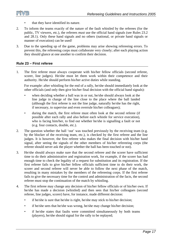

- that they have identified its nature.
- 2. To inform the teams exactly of the nature of the fault whistled by the referees (for the public, TV viewers, etc.), the referees *must* use the official hand signals (see Rules 23.2 and 28.1). Only these hand signals and no others (national, or private hand signals or manner of execution) can be used!
- 3. Due to the speeding up of the game, problems may arise showing refereeing errors. To prevent this, the refereeing corps must collaborate very closely; after each playing action they should glance at one another to confirm their decision.

#### **Rule 23 – First referee**

1. The first referee must always cooperate with his/her fellow officials (second referee, scorer, line judges). He/she must let them work within their competence and their authority. He/she should perform his/her active duties while standing.

 For example: after whistling for the end of a rally, he/she should immediately look at the other officials (and only then give his/her final decision with the official hand signals):

- when deciding whether a ball was in or out, he/she should always look at the line judge in charge of the line close to the place where the ball landed (although the first referee is not the line judge, naturally he/she has the right, if necessary, to supervise and even overrule his/her colleagues);
- during the match, the first referee must often look at the second referee (if possible after each rally and also before each whistle for service execution), who is facing him/her, to find out whether he/she is signalling a fault or not (e.g. four contacts, double, etc.).
- 2. The question whether the ball 'out' was touched previously by the receiving team (e.g. by the blocker of the receiving team, etc.), is checked by the first referee and the line judges. It is however, the first referee who makes the final decision with his/her hand signal, after seeing the signals of the other members of his/her refereeing corps (the referee should never ask the player whether the ball has been touched or not).
- 3. He/she should always make sure that the second referee and the scorer have sufficient time to do their administrative and registration work, for example, if the scorer has had enough time to check the legality of a request for substitution and its registration. If the first referee fails to give his/her fellow officials sufficient time to do their work, the scorer and second referee will never be able to follow the next phase of the match, resulting in many mistakes by the members of the refereeing corps. If the first referee fails to give the necessary time for the control and administration of the facts, the second referee must stop the continuation of the match by whistling.
- 4. The first referee may change any decision of his/her fellow officials or of his/her own. If he/she has made a decision (whistled) and then sees that his/her colleagues (second referee, line judges, scorer) have, for instance, made different decision:
	- if he/she is sure that he/she is right, he/she may stick to his/her decision;
	- if he/she sees that he/she was wrong, he/she may change his/her decision;
	- if he/she states that faults were committed simultaneously by both teams (players), he/she should signal for the rally to be replayed;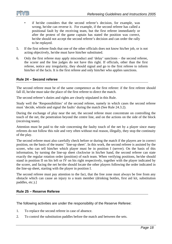

- if he/she considers that the second referee's decision, for example, was wrong, he/she can reverse it. For example, if the second referee has called a positional fault by the receiving team, but the first referee immediately or after the protest of the game captain has stated the position was correct, he/she should not accept the second referee's decision and can order the rally to be replayed.
- 5. If the first referee finds that one of the other officials does not know his/her job, or is not acting objectively, he/she must have him/her substituted.
- 6. Only the first referee may apply misconduct and 'delay' sanctions the second referee, the scorer and the line judges do not have this right. If officials, other than the first referee, notice any irregularity, they should signal and go to the first referee to inform him/her of the facts. It is the first referee and only him/her who applies sanctions.

#### **Rule 24 – Second referee**

The second referee must be of the same competence as the first referee: if the first referee should fall ill, he/she must take the place of the first referee to direct the match.

The second referee's duties and rights are clearly stipulated in this Rule.

Study well the 'Responsibilities' of the second referee, namely in which cases the second referee must 'decide, whistle and signal the faults' during the match (See Rule 24.3.2).

During the exchange of play near the net, the second referee must concentrate on controlling the touch of the net, the penetration beyond the centre line, and on the actions on the side of the block (receiving team).

Attention must be paid to the rule concerning the faulty touch of the net by a player since many referees do not follow this rule and very often without real reason, illegally, they stop the continuity of the play.

The second referee must also carefully check before or during the match if the players are in correct position, on the basis of the teams' 'line-up sheet'. In this work, the second referee is assisted by the scorer, who can tell him/her which player must be in position I (server). On the basis of this information, by turning the line-up sheet clockwise in his/her hand, the second referee can state exactly the regular rotation order (position) of each team. When verifying positions, he/she should stand in position II on his left or IV on his right respectively, together with the player indicated by the scorer, and facing the net he/she should locate the other players following the order indicated in the line-up sheet, starting with the player in position I.

The second referee must pay attention to the fact, that the free zone must always be free from any obstacle which can cause an injury to a team member (drinking bottles, first aid kit, substitution paddles, etc.).]

#### **Rule 25 – Reserve Referee**

The following activities are under the responsibility of the Reserve Referee:

- 1. To replace the second referee in case of absence.
- 2. To control the substitution paddles before the match and between the sets.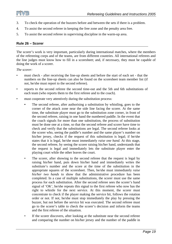

- 3. To check the operation of the buzzers before and between the sets if there is a problem.
- 4. To assist the second referee in keeping the free zone and the penalty area free.
- 5. To assist the second referee in supervising discipline in the warm-up area.

#### **Rule 26 – Scorer**

The scorer's work is very important, particularly during international matches, where the members of the refereeing corps and of the teams, are from different countries. All international referees and the line judges must know how to fill in a scoresheet; and, if necessary, they must be capable of doing the work of a scorer.

#### *The scorer:*

- must check after receiving the line-up sheets and before the start of each set that the numbers on the line-up sheets can also be found on the scoresheet team member list (if not, he/she must report to the second referee).
- reports to the second referee the second time-out and the 5th and 6th substitutions of each team (who reports them to the first referee and to the coach).
- must cooperate very attentively during the substitution process:
	- The second referee, after authorising a substitution by whistling, goes to the corner of the attack zone near the side line facing the scorer. At the same time, the substitute player must go to the substitution zone corner, in front of the second referee, raising in one hand the numbered paddle. In the event that the coach signals for more than one substitution, the process of substitution must be done one at a time, so that the second referee and scorer have time to check and verify that the substitutions are legal. The second referee looks at the scorer who, seeing the paddle's number and the same player's number on his/her jersey, checks if the request of this substitution is legal; if he/she states that it is legal, he/she must immediately *raise one hand*. At this stage, the second referee, by seeing the scorer raising his/her hand, understands that the request is legal and immediately lets the substitute player enter the playing court while the other leaves the court.
	- The scorer, after showing to the second referee that the request is legal by raising his/her hand, puts down his/her hand and immediately writes the substitute's number and the score at the time of the substitution in the appropriate squares of the scoresheet. Then, he/she must immediately *raise his/her two hands* to show that the administrative procedure has been completed. In a case of multiple substitutions, the scorer must use the same process for each substitution. After the second referee sees the scorer's hand signal of 'OK', he/she repeats this signal to the first referee who now has the right to whistle for the next service. At this moment, the scorer must concentrate to check if the player making the service hit, follows the rotation order or not. If not, he/she must stop immediately the play by pressing the buzzer, but not before the service hit was executed. The second referee must go to the scorer's table to check the scorer's decision and inform the teams and the first referee of the situation.
	- If the scorer discovers, after looking at the substitute near the second referee and comparing the number on his/her jersey and the number of the paddle in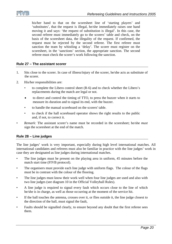

his/her hand to that on the scoresheet line of 'starting players' and 'substitutes', that the request is illegal, he/she immediately raises one hand moving it and says: 'the request of substitution is illegal'. In this case, the second referee must immediately go to the scorers' table and check, on the basis of the scoresheet data, the illegality of the request. If confirmed, the request must be rejected by the second referee. The first referee must sanction the team by whistling a 'delay'. The scorer must register on the scoresheet, in the 'sanctions' section, the appropriate sanction. The second referee must check the scorer's work following the sanction.

#### **Rule 27 – The assistant scorer**

- 1. Sits close to the scorer. In case of illness/injury of the scorer, he/she acts as substitute of the scorer.
- 2. His/her responsibilities are:
	- to complete the Libero control sheet (R-6) and to check whether the Libero's replacements during the match are legal or not.
	- to direct and control the timing of TTO, to press the buzzer when it starts to measure its duration and to signal its end, with the buzzer.
	- to handle the manual scoreboard on the scorers' table.
	- to check if the hall scoreboard operator shows the right results to the public and, if not, to correct it.
- *Remark:* The assistant scorer's name must be recorded in the scoresheet; he/she *must* sign the scoresheet at the end of the match.

#### **Rule 28 – Line judges**

The line judges' work is very important, especially during high level international matches. All international candidates and referees must also be familiar in practice with the line judges' work in case they are designated as line judges during international matches.

- The line judges must be present on the playing area in uniform, 45 minutes before the match start time (FIVB protocol).
- The organisers must provide each line judge with uniform flags. The colour of the flags must be in contrast with the colour of the flooring.
- The line judges must know their work well when four line judges are used and also with two line judges (see diagram 10 in the Official Volleyball Rules).
- A line judge is required to signal every fault which occurs close to the line of which he/she is in charge, as well as those occurring at the moment of the service hit.
- If the ball touches the antenna, crosses over it, or flies outside it, the line judge closest to the direction of the ball, must signal the fault,
- Faults should be signalled clearly, to ensure beyond any doubt that the first referee sees them.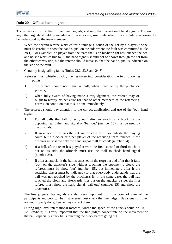

#### **Rule 29 – Official hand signals**

The referees must use the official hand signals, and only the international hand signals. The use of any other signals should be avoided and, in any case, used only when it is absolutely necessary to be understood by the team members.

- When the second referee whistles for a fault (e.g. touch of the net by a player) he/she must be careful to show the hand signal on the side where the fault was committed (Rule 28.1). For example: if a player from the team that is on his/her right has touched the net, and he/she whistles this fault, the hand signals should not be shown through the net from the other team's side, but the referee should move so, that the hand signal is indicated on the side of the fault.
- Certainty in signalling faults (Rules 22.2, 23.3 and 24.3)

Referees must whistle quickly having taken into consideration the two following points:

- 1) the referee should not signal a fault, when urged to by the public or players,
- 2) when fully aware of having made a misjudgement, the referee may or ought to rectify his/her error (or that of other members of the refereeing corps), on condition that this is done immediately.
- The referees should pay attention to the correct application and use of the 'out' hand signal:
	- 1) For all balls that fall 'directly out' after an attack or a block by the opposing team, the hand signal of 'ball out' (number 15) must be used by the officials.
	- 2) If an attack hit crosses the net and touches the floor outside the playing court, but a blocker or other player of the receiving team touches it, the officials must show only the hand signal 'ball touched' (number 24).
	- 3) If a ball, after a team has played it with the first, second or third touch, is out on its side, the officials must use the 'ball touched' hand signal (number 24).
	- 4) If after an attack hit the ball is smashed in the (top) net and after that it falls 'out' on the attacker's side without touching the opponent's block, the referees must be show 'out' (number 15), but immediately after it the attacking player must be indicated (so that everybody understands that the ball was not touched by the blockers). If, in the same case, the ball has touched the block and afterwards flies out on the attacker's side, the first referee must show the hand signal 'ball out' (number 15) and show the blocker(s).
- The line judge's flag signals are also very important from the point of view of the participants and public. The first referee must check the line judge's flag signals; if they are not properly done, he/she may correct them.

 During high level international matches, where the speed of the attacks could be 100 - 120 km/hour, it is very important that the line judges concentrate on the movement of the ball, especially attack balls touching the block before going out.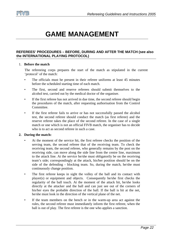

### **GAME MANAGEMENT**

#### **REFEREES' PROCEDURES – BEFORE, DURING AND AFTER THE MATCH (see also the INTERNATIONAL PLAYING PROTOCOL)**

#### 1. **Before the match**

The refereeing corps prepares the start of the match as stipulated in the current 'protocol' of the match:

- The officials must be present in their referee uniforms at least 45 minutes before the scheduled starting time of each match.
- The first, second and reserve referees should submit themselves to the alcohol test, carried out by the medical doctor of the organiser.
- If the first referee has not arrived in due time, the second referee should begin the procedures of the match, after requesting authorisation from the Control Committee.
- If the first referee fails to arrive or has not successfully passed the alcohol test, the second referee should conduct the match (as first referee) and the reserve referee takes the place of the second referee. In the case of a single match or one which is not an official FIVB match, the organiser has to decide who is to act as second referee in such a case.

#### **2. During the match:**

- At the moment of the service hit, the first referee checks the position of the serving team, the second referee that of the receiving team. To check the receiving team, the second referee, who generally remains by the post on the receiving side, can move along the side line from the centre line, maximum to the attack line. At the service he/she must obligatorily be on the receiving team's side; correspondingly at the attack, his/her position should be on the side of the defending - blocking team. So, during the match, he/she must continuously change position.
- The first referee keeps in sight the volley of the ball and its contact with player(s) or equipment and objects. Consequently he/she first checks the regularity of the ball touch. At the moment of the attack hit, he/she looks directly at the attacker and the ball and can just see out of the corners of his/her eyes the probable direction of the ball. If the ball is hit at the net, he/she must look in the direction of the vertical plane of the net.
- If the team members on the bench or in the warm-up area act against the rules, the second referee must immediately inform the first referee, when the ball is out of play. The first referee is the one who applies a sanction.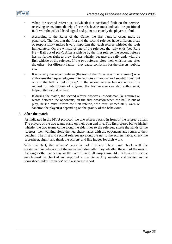



- When the second referee calls (whistles) a positional fault on the servicereceiving team, immediately afterwards he/she must indicate the positional fault with the official hand signal and point out exactly the players at fault.
- According to the Rules of the Game, the first fault to occur must be penalised. The fact that the first and the second referees have different areas of responsibility makes it very important that each referee whistles the fault immediately. On the whistle of one of the referees, the rally ends (see Rule 8.2 – Ball out of play). After a whistle by the first referee, the second referee has no further right to blow his/her whistle, because the rally ends with the first whistle of the referees. If the two referees blow their whistles one after the other – for different faults – they cause confusion for the players, public, etc.
- It is usually the second referee (the text of the Rules says 'the referees') who authorises the requested game interruptions (time-outs and substitutions) but only if the ball is 'out of play'. If the second referee has not noticed the request for interruption of a game, the first referee can also authorise it, helping the second referee.
- If during the match, the second referee observes unsportsmanlike gestures or words between the opponents, on the first occasion when the ball is out of play, he/she must inform the first referee, who must immediately warn or sanction the player(s) depending on the gravity of the behaviour.

#### 3. **After the match**

As indicated in the FIVB protocol, the two referees stand in front of the referee's chair. The players of the two teams stand on their own end line. The first referee blows his/her whistle, the two teams come along the side lines to the referees, shake the hands of the referees, then walking along the net, shake hands with the opponents and return to their benches. The first and second referees go along the net to the scorers' table, check the scoresheet, sign it and thank the scorers' and line judges for their work.

 With this fact, the referees' work is not finished! They must check well the sportsmanlike behaviour of the teams including after they whistled the end of the match! As long as the teams stay in the control area, all unsportsmanlike behaviour after the match must be checked and reported to the Game Jury member and written in the scoresheet under 'Remarks' or in a separate report.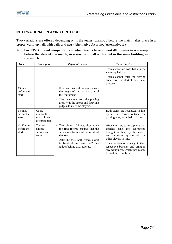



#### **INTERNATIONAL PLAYING PROTOCOL**

Two variations are offered depending on if the teams' warm-up before the match takes place in a proper warm-up hall, with balls and nets (Alternative A) or not (Alternative B).

**A. For FIVB official competitions at which teams have at least 40 minutes to warm-up before the start of the match, in a warm-up hall with a net in the same building as the match.** 

| Teams warm-up with balls in the<br>warm-up $\text{hall}(s)$ .<br>Teams cannot enter the playing<br>area before the start of the official<br>protocol.                                                                                                                                                      |
|------------------------------------------------------------------------------------------------------------------------------------------------------------------------------------------------------------------------------------------------------------------------------------------------------------|
|                                                                                                                                                                                                                                                                                                            |
|                                                                                                                                                                                                                                                                                                            |
|                                                                                                                                                                                                                                                                                                            |
|                                                                                                                                                                                                                                                                                                            |
| Both teams are requested to line<br>up at the corner outside the<br>playing area, with their coaches.                                                                                                                                                                                                      |
| After the toss, team captains and<br>sign the scoresheet,<br>coaches<br>brought to them by the scorer,<br>and the team captains join the<br>other players in line.<br>Then the team officials go to their<br>respective benches and bring in<br>any equipment, which they places<br>behind the team bench. |
|                                                                                                                                                                                                                                                                                                            |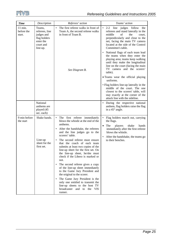

| <b>Time</b>                       | Description                                                                                  | Referees' action                                                                                                                                                                                                                                                                                                                                                                                                                                                                                                                                                                                                                                                                                                      | Teams' action                                                                                                                                                                                                                                                  |
|-----------------------------------|----------------------------------------------------------------------------------------------|-----------------------------------------------------------------------------------------------------------------------------------------------------------------------------------------------------------------------------------------------------------------------------------------------------------------------------------------------------------------------------------------------------------------------------------------------------------------------------------------------------------------------------------------------------------------------------------------------------------------------------------------------------------------------------------------------------------------------|----------------------------------------------------------------------------------------------------------------------------------------------------------------------------------------------------------------------------------------------------------------|
| $11$ min.<br>before the<br>start. | Teams,<br>referees, line<br>judges and<br>flag holders<br>enter the<br>court and<br>line-up. | The first referee walks in front of<br>Team A, the second referee walks<br>in front of Team B.                                                                                                                                                                                                                                                                                                                                                                                                                                                                                                                                                                                                                        | line<br>judges follow<br>$2 - 2$<br>$\bullet$<br>the<br>referees and stand laterally in the<br>middle<br>of<br>the<br>court,<br>perpendicularly and close to the<br>net, facing the main TV camera<br>located at the side of the Control<br>Committee's table. |
|                                   |                                                                                              | See Diagram B.                                                                                                                                                                                                                                                                                                                                                                                                                                                                                                                                                                                                                                                                                                        | National flags of each team lead<br>$\bullet$<br>the teams when they enter the<br>playing area; teams keep walking<br>until they make the longitudinal<br>line on the court (facing the main<br>TV camera and the scorers'<br>table).                          |
|                                   |                                                                                              |                                                                                                                                                                                                                                                                                                                                                                                                                                                                                                                                                                                                                                                                                                                       | • Teams wear the official playing<br>uniforms.<br>• Flag holders line-up laterally in the<br>middle of the court. The one<br>closest to the scorers' table, will<br>stay exactly at the corner of the<br>attack line with the sideline.                        |
|                                   | National<br>anthems are<br>played (45<br>sec. each)                                          |                                                                                                                                                                                                                                                                                                                                                                                                                                                                                                                                                                                                                                                                                                                       | During the respective national<br>$\bullet$<br>anthem, flag holders raise the flag<br>in a $45^\circ$ angle.                                                                                                                                                   |
| 9 min before<br>the start         | Shake hands.<br>Line-up<br>sheet for the<br>first set.                                       | The first referee immediately<br>$\bullet$<br>blows the whistle at the end of the<br>anthems.<br>After the handshake, the referees<br>and the line judges go to the<br>scorers' table.<br>The second referee must ensure<br>that the coach of each team<br>submits at least two copies of the<br>line-up sheet for the first set. On<br>the line-up sheet, he/she must<br>check if the Libero is marked or<br>not.<br>The second referee gives a copy<br>of the line-up sheet immediately<br>to the Game Jury President and<br>the original to the scorer.<br>The Game Jury President is the<br>only one entitled to transmit the<br>line-up sheets to the host TV<br>broadcaster and to the<br><b>VIS</b><br>runner. | Flag holders march out, carrying<br>the flags.<br>The<br>shake<br>players<br>hands<br>$\bullet$<br>immediately after the first referee<br>blows the whistle.<br>After the handshake, the teams go<br>to their benches.                                         |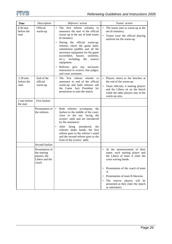

| <b>Time</b>                      | Description                                                                | Referees' action                                                                                                                                                                                                                                                                                                                                                                                                                                                                           | Teams' action                                                                                                                                                                                |
|----------------------------------|----------------------------------------------------------------------------|--------------------------------------------------------------------------------------------------------------------------------------------------------------------------------------------------------------------------------------------------------------------------------------------------------------------------------------------------------------------------------------------------------------------------------------------------------------------------------------------|----------------------------------------------------------------------------------------------------------------------------------------------------------------------------------------------|
| 8.30 min.<br>before the<br>start | Official<br>warm-up                                                        | The first referee whistles to<br>$\bullet$<br>announce the start of the official<br>warm-up at the net of both teams<br>(6 minutes).<br>During the official warm-up,<br>$\bullet$<br>referees check the game balls,<br>substitution paddles and all the<br>necessary equipment for the game<br>(scoresheet, buzzer,<br>uniforms,<br>$etc.$ ),<br>including<br>the<br>reserve<br>equipment.<br>Referees give any necessary<br>instruction to scorers, line judges,<br>and court assistants. | The teams start to warm-up at the<br>٠<br>net (6 minutes).<br>Teams wear the official playing<br>uniform for the warm-up.                                                                    |
| 2.30 min.<br>before the<br>start | End of the<br>official<br>warm-up                                          | first referee<br>whistle<br>$\bullet$<br>The<br>to<br>announce to end of the official<br>warm-up and both referees ask<br>the Game Jury President for<br>permission to start the match.                                                                                                                                                                                                                                                                                                    | Players return to the benches at<br>the end of the warm-up.<br>Team officials, 6 starting players<br>and the Libero sit on the bench<br>while the other players stay in the<br>warm-up area. |
| 2 min before<br>the start        | First fanfare                                                              |                                                                                                                                                                                                                                                                                                                                                                                                                                                                                            |                                                                                                                                                                                              |
|                                  | Presentation of<br>the referees                                            | $\bullet$<br>Both referees accompany the<br>fanfare to the middle of the court,<br>close to the net, facing the<br>scorers' table and are introduced<br>by the announcer.<br>After being introduced,<br>the<br>٠<br>referees shake hands, the first<br>referee goes to the referee's stand<br>and the second referee goes to the<br>front of the scorers' table.                                                                                                                           |                                                                                                                                                                                              |
|                                  | Second fanfare                                                             |                                                                                                                                                                                                                                                                                                                                                                                                                                                                                            |                                                                                                                                                                                              |
|                                  | Presentation of<br>the starting<br>players, the<br>Libero and the<br>coach |                                                                                                                                                                                                                                                                                                                                                                                                                                                                                            | At the announcement of their<br>٠<br>name, each starting player and<br>the Libero of team A enter the<br>court waving hands.                                                                 |
|                                  |                                                                            |                                                                                                                                                                                                                                                                                                                                                                                                                                                                                            | Presentation of the coach of team<br>$\bullet$<br>А.<br>Presentation of team B likewise.<br>The reserve players will be<br>presented as they enter the match<br>as substitutes.              |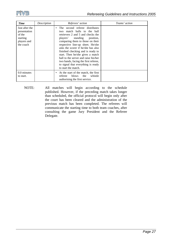

| Time                                                                             | Description | Referees' action                                                                                                                                                                                                                                                                                                                                                                                                                                                                   | Teams' action |
|----------------------------------------------------------------------------------|-------------|------------------------------------------------------------------------------------------------------------------------------------------------------------------------------------------------------------------------------------------------------------------------------------------------------------------------------------------------------------------------------------------------------------------------------------------------------------------------------------|---------------|
| Just after the<br>presentation<br>of the<br>starting<br>players and<br>the coach |             | The second referee distributes<br>$\bullet$<br>two match balls to the ball<br>retrievers 2 and 5 and checks the<br>players' standing position,<br>comparing them to those on their<br>respective line-up sheet. He/she<br>asks the scorer if he/she has also<br>finished checking and is ready to<br>start. Then he/she gives a match<br>ball to the server and raise his/her<br>two hands, facing the first referee,<br>to signal that everything is ready<br>to start the match. |               |
| 0.0 minutes<br>to start.                                                         |             | At the start of the match, the first<br>٠<br>blows<br>whistle<br>referee<br>the<br>authorising the first service.                                                                                                                                                                                                                                                                                                                                                                  |               |

NOTE: All matches will begin according to the schedule published. However, if the preceding match takes longer than scheduled, the official protocol will begin only after the court has been cleared and the administration of the previous match has been completed. The referees will communicate the starting time to both team coaches, after consulting the game Jury President and the Referee Delegate.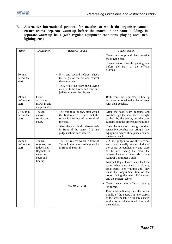**B. Alternative international protocol for matches at which the organiser cannot ensure teams' separate warm-up before the match, in the same building, in separate warm-up halls (with regular equipment conditions, playing area, net, lighting, etc.)** 

| <b>Time</b>                        | Description                                                                                  | Referees' action                                                                                                                                                                                                                                  | Teams' action                                                                                                                                                                                                                                                                                                                                                                                                                                                    |
|------------------------------------|----------------------------------------------------------------------------------------------|---------------------------------------------------------------------------------------------------------------------------------------------------------------------------------------------------------------------------------------------------|------------------------------------------------------------------------------------------------------------------------------------------------------------------------------------------------------------------------------------------------------------------------------------------------------------------------------------------------------------------------------------------------------------------------------------------------------------------|
|                                    |                                                                                              |                                                                                                                                                                                                                                                   | • Teams warm-up with balls outside<br>the playing area.<br>• Teams cannot enter the playing area<br>before the start of the official<br>protocol.                                                                                                                                                                                                                                                                                                                |
| 30 min.<br>before the<br>start     |                                                                                              | First and second referees check<br>the height of the net and control<br>the equipment.<br>They walk out from the playing<br>$\bullet$<br>area, with the scorer and four line<br>judges, to meet the players.                                      |                                                                                                                                                                                                                                                                                                                                                                                                                                                                  |
| 29 min.<br>before the<br>start     | Court<br>assistants<br>march in and<br>are presented                                         |                                                                                                                                                                                                                                                   | • Both teams are requested to line up<br>at the corner outside the playing area,<br>with their coaches.                                                                                                                                                                                                                                                                                                                                                          |
| 27.30 min.<br>before the<br>start. | Toss to<br>choose<br>service and<br>court.                                                   | The coin toss follows, after which<br>$\bullet$<br>the first referee ensures that the<br>scorer is informed of the result of<br>the toss.<br>After the toss, both referees wait<br>in front of the teams, 2-2 line<br>judges behind each referee. | After the toss, team captains and<br>coaches sign the scoresheet, brought<br>to them by the scorer, and the team<br>captains join the other players in line.<br>Then the team officials go to their<br>$\bullet$<br>respective benches and bring in any<br>equipment which they places behind<br>the team bench.                                                                                                                                                 |
| 26 min.<br>before the<br>start.    | Teams,<br>referees, line<br>judges and<br>flag holders<br>enter the<br>court and<br>line-up. | The first referee walks in front of<br>$\bullet$<br>Team A, the second referee walks<br>in front of Team B.                                                                                                                                       | 2-2 line judges follow the referees<br>$\bullet$<br>and stand laterally in the middle of<br>the court, perpendicularly and close<br>to the net, facing the main TV<br>camera located at the side of the<br>Control Committee's table.<br>• National flags of each team lead the<br>teams when they enter the playing<br>area; teams keep walking until they<br>make the longitudinal line on the<br>court (facing the main TV camera<br>and the scorers' table). |
|                                    |                                                                                              | See Diagram B.                                                                                                                                                                                                                                    | Teams wear the official playing<br>uniforms.<br>Flag holders line-up laterally in the<br>middle of the court. The one closest<br>to the scorers' table, will stay exactly<br>at the corner of the attack line with<br>the sideline.                                                                                                                                                                                                                              |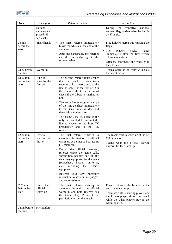

| <b>Time</b>                             | Description                                         | Referees' action                                                                                                                                                                                                                                                                                                                                                                                                                                                                                                                  | Teams' action                                                                                                                                                                                                          |
|-----------------------------------------|-----------------------------------------------------|-----------------------------------------------------------------------------------------------------------------------------------------------------------------------------------------------------------------------------------------------------------------------------------------------------------------------------------------------------------------------------------------------------------------------------------------------------------------------------------------------------------------------------------|------------------------------------------------------------------------------------------------------------------------------------------------------------------------------------------------------------------------|
|                                         | National<br>anthems are<br>played (45<br>sec. each) |                                                                                                                                                                                                                                                                                                                                                                                                                                                                                                                                   | During<br>the<br>respective<br>national<br>anthem, flag holders raise the flag in<br>a $45^\circ$ angle.                                                                                                               |
| $24 \text{ min}$<br>before the<br>start | Shake hands                                         | The first referee immediately<br>blows the whistle at the end of the<br>anthems.<br>After the handshake, the referees<br>$\bullet$<br>and the line judges go to the<br>scorers' table.                                                                                                                                                                                                                                                                                                                                            | Flag holders march out, carrying the<br>flags.<br>The<br>players<br>shake<br>hands<br>$\bullet$<br>immediately after the first referee<br>blows the whistle.<br>After the handshake, the teams go to<br>their benches. |
| 23.30 before<br>the start               | Warm-up                                             |                                                                                                                                                                                                                                                                                                                                                                                                                                                                                                                                   | Teams warm-up on court with balls<br>but not at the net.                                                                                                                                                               |
| 13.00 min.<br>before the<br>start       | Line up<br>sheet for the<br>first set               | The second referee must ensure<br>that the coach of each team<br>submits at least two copies of the<br>line-up sheet for the first set. On<br>the line-up sheet, he/she must<br>check if the Libero is marked or<br>not.<br>The second referee gives a copy<br>of the line-up sheet immediately<br>to the Game Jury President and<br>the original to the scorer.<br>The Game Jury President is the<br>$\bullet$<br>only one entitled to transmit the<br>line-up sheets to the host TV<br>broadcaster and to<br>the VIS<br>runner. |                                                                                                                                                                                                                        |
| 12.30 min.<br>before the<br>start       | Official<br>warm-up at<br>the net                   | The first referee whistles to<br>$\bullet$<br>announce the start of the official<br>warm-up at the net of both teams<br>(10 minutes).<br>During the official warm-up,<br>referees check the game balls,<br>substitution paddles and all the<br>necessary equipment for the game<br>(scoresheet, buzzer, uniforms,<br>including<br>etc),<br>the<br>reserve<br>equipment.<br>Referees give any necessary<br>$\bullet$<br>instruction to scorers, line judges,<br>and court assistants.                                              | The teams start to warm-up at the net<br>$(10 \text{ minutes})$ .<br>Teams wear the official playing<br>$\bullet$<br>uniform for the warm-up.                                                                          |
| 2.30 min.<br>before the<br>start        | End of the<br>official<br>warm-up                   | The first referee whistles to<br>$\bullet$<br>announce the end of the official<br>warm-up and both referees ask<br>the Game Jury President for<br>permission to start the match.                                                                                                                                                                                                                                                                                                                                                  | • Players return to the benches at the<br>end of the warm-up.<br>Team officials, 6 starting players and<br>the Libero player sit on the bench<br>while the other players stay in the<br>warm-up area.                  |
| 2 min before<br>the start               | First fanfare                                       |                                                                                                                                                                                                                                                                                                                                                                                                                                                                                                                                   |                                                                                                                                                                                                                        |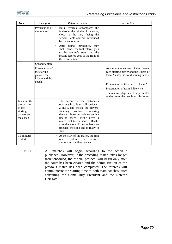

| <b>Time</b>                                                                      | Description                                                                | Referees' action                                                                                                                                                                                                                                                                                                                                    | Teams' action                                                                                                                                                                                                                                                                                     |
|----------------------------------------------------------------------------------|----------------------------------------------------------------------------|-----------------------------------------------------------------------------------------------------------------------------------------------------------------------------------------------------------------------------------------------------------------------------------------------------------------------------------------------------|---------------------------------------------------------------------------------------------------------------------------------------------------------------------------------------------------------------------------------------------------------------------------------------------------|
|                                                                                  | Presentation of<br>the referees                                            | Both referees accompany the<br>$\bullet$<br>fanfare to the middle of the court,<br>close to the net, facing the<br>scorers' table and are introduced<br>by the announcer.<br>After being introduced,<br>they<br>shake hands, the first referee goes<br>to the referee's stand and the<br>second referee goes to the front of<br>the scorers' table. |                                                                                                                                                                                                                                                                                                   |
|                                                                                  | Second fanfare                                                             |                                                                                                                                                                                                                                                                                                                                                     |                                                                                                                                                                                                                                                                                                   |
|                                                                                  | Presentation of<br>the starting<br>players, the<br>Libero and the<br>coach |                                                                                                                                                                                                                                                                                                                                                     | At the announcement of their name,<br>each starting player and the Libero of<br>team A enter the court waving hands.<br>Presentation of the coach of team A.<br>$\bullet$<br>Presentation of team B likewise.<br>The reserve players will be presented<br>as they enter the match as substitutes. |
| Just after the<br>presentation<br>of the<br>starting<br>players and<br>the coach |                                                                            | The second referee distributes<br>two match balls to ball retrievers<br>2 and 5 and checks the players'<br>standing position, comparing<br>them to those on their respective<br>line-up sheet. He/she gives a<br>match ball to the server. He/she<br>asks the scorer if he/she has also<br>finished checking and is ready to<br>start.              |                                                                                                                                                                                                                                                                                                   |
| 0.0 minutes<br>to start.                                                         |                                                                            | At the start of the match, the first<br>blows<br>whistle<br>referee<br>the<br>authorising the first service.                                                                                                                                                                                                                                        |                                                                                                                                                                                                                                                                                                   |

NOTE: All matches will begin according to the schedule published. However, if the preceding match takes longer than scheduled, the official protocol will begin only after the court has been cleared and the administration of the previous match has been completed. The referees will communicate the starting time to both team coaches, after consulting the Game Jury President and the Referee Delegate.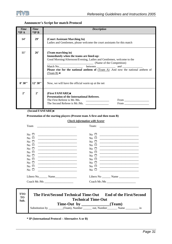

#### **Announcer's Script for match Protocol**

| <b>Time</b><br>$*IPA$ | <b>Time</b><br>$*IPB$ | <b>Description</b>                                                                                                                                                                                                                                                                                                                                                                                                                                         |
|-----------------------|-----------------------|------------------------------------------------------------------------------------------------------------------------------------------------------------------------------------------------------------------------------------------------------------------------------------------------------------------------------------------------------------------------------------------------------------------------------------------------------------|
| 14'                   | 29'                   | (Court Assistant Marching In)<br>Ladies and Gentlemen, please welcome the court assistants for this match                                                                                                                                                                                                                                                                                                                                                  |
| 11'                   | 26'                   | (Team marching in)<br>Immediately when the teams are lined-up:<br>Good Morning/Afternoon/Evening, Ladies and Gentlemen, welcome to the<br>(Name of the Competition)<br>Match No. <b>Match No.</b> between <b>Match No. html and</b> <u><b>Match No. html between and <i>m</i> and <i>m m</i> and <i>m m m m m m m m m m m m m m m m m</i></b></u><br><b>Please rise for the national anthem of</b> $(Team A)$ . And now the national anthem of<br>(Team B) |
| 8'30''                | 12'30''               | Now, we will have the official warm up at the net                                                                                                                                                                                                                                                                                                                                                                                                          |
| $2^{\circ}$           | 2 <sup>2</sup>        | (First FANFARE)<br><b>Presentation of the International Referees.</b><br>The First Referee is Mr./Ms.<br>$From \_$<br>The Second Referee is Mr./Ms.<br>From the contract of the state of the state of the state of the state of the state of the state of the state of the state of the state of the state of the state of the state of the state of the state of the state of the st                                                                      |

 **(Second FANFARE)**;

#### **Presentation of the starting players (Present team A first and then team B)**

#### *Check information with Scorer*

| Team                    | Team:                   |
|-------------------------|-------------------------|
| No $\Box$               | No $\Box$               |
| $\rm{No}$ $\Box$        | $\overline{N}_0$ $\Box$ |
| No $\Box$               | $\rm{No}$ $\Box$        |
| No $\Box$               | No $\Box$               |
| $\mathrm{No} \ \sqcup$  | $\rm{No}$ $\Box$        |
| $\rm{No}$ $\Box$        | $\rm{No}$ $\Box$        |
| No $\Box$               | $\rm{No}$ $\Box$        |
| $\rm{No}$ $\Box$        | $\rm{No}$ $\Box$        |
| No $\Box$               | $\rm{No}$ $\Box$        |
| No $\Box$               | $\rm{No}$ $\Box$        |
| $\overline{N_0}$ $\Box$ | $\rm{No}$ $\Box$        |
|                         |                         |
|                         |                         |

| TTO<br><b>TO</b><br>Sub. | The First/Second Technical Time-Out<br><b>Technical Time-Out</b> | <b>End of the First/Second</b> |
|--------------------------|------------------------------------------------------------------|--------------------------------|
|                          | Time-Out by<br>Substitution by (Team), Number out, Number Name   | (Team)<br>1n                   |
|                          |                                                                  |                                |

**\* IP (International Protocol – Alternative A or B)**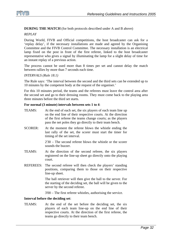

#### **DURING THE MATCH** (for both protocols described under A and B above)

#### *REPLAY*

During World, FIVB and Official competitions, the host broadcaster can ask for a 'replay delay', if the necessary installations are made and agreed by the Organising Committee and the FIVB Control Committee. The necessary installation is an electrical lamp fixed on the post in front of the first referee, linked to the host broadcaster representative who gives a signal by illuminating the lamp for a slight delay of time for an instant replay of a previous action.

The process cannot be used more than 8 times per set and cannot delay the match between rallies by more than 7 seconds each time.

#### *INTERVALS (Rule 18.1)*

The Rule says: 'The interval between the second and the third sets can be extended up to 10 minutes by the competent body at the request of the organiser.'

For this 10 minutes period, the teams and the referees must leave the control area after the second set and go to their dressing rooms. They must come back to the playing area three minutes before the third set starts.

#### **For normal (3 minute) intervals between sets 1 to 4**:

| TEAMS:           | At the end of each set, the six players of each team line up<br>on the end line of their respective courts. At the direction<br>of the first referee the teams change courts; as the players<br>pass the net poles they go directly to their team bench. |
|------------------|----------------------------------------------------------------------------------------------------------------------------------------------------------------------------------------------------------------------------------------------------------|
| <b>SCORER:</b>   | At the moment the referee blows the whistle ending the<br>last rally of the set, the scorer must start the timer for<br>timing of the set interval.                                                                                                      |
|                  | $2'30$ – The second referee blows the whistle or the scorer<br>sounds the buzzer.                                                                                                                                                                        |
| TEAMS:           | At the direction of the second referee, the six players<br>registered on the line-up sheet go directly onto the playing<br>court.                                                                                                                        |
| <b>REFEREES:</b> | The second referee will then check the players' standing<br>positions, comparing them to those on their respective<br>line-up sheet.                                                                                                                     |
|                  | The ball retriever will then give the ball to the server. For<br>the starting of the deciding set, the ball will be given to the<br>server by the second referee.                                                                                        |
|                  | $3'00$ – The first referee whistles, authorising the service.                                                                                                                                                                                            |
|                  | Interval before the deciding set:                                                                                                                                                                                                                        |

TEAMS: At the end of the set before the deciding set, the six players of each team line-up on the end line of their respective courts. At the direction of the first referee, the teams go directly to their team bench.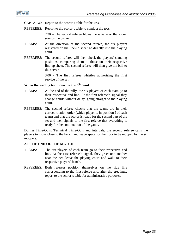

CAPTAINS: Report to the scorer's table for the *toss*.

REFEREES: Report to the scorer's table to conduct the *toss*.

2'30 – The second referee blows the whistle or the scorer sounds the buzzer.

- TEAMS: At the direction of the second referee, the six players registered on the line-up sheet go directly into the playing court.
- REFEREES: The second referee will then check the players' standing positions, comparing them to those on their respective line-up sheet. The second referee will then give the ball to the server.

3'00 - The first referee whistles authorising the first service of the set.

#### When the leading team reaches the  $8<sup>th</sup>$  point:

- TEAMS: At the end of the rally, the six players of each team go to their respective end line. At the first referee's signal they change courts without delay, going straight to the playing court.
- REFEREES: The second referee checks that the teams are in their correct rotation order (which player is in position I of each team) and that the scorer is ready for the second part of the set and then signals to the first referee that everything is ready for the continuation of the game.

During Time-Outs, Technical Time-Outs and intervals, the second referee calls the players to move close to the bench and leave space for the floor to be mopped by the six moppers.

#### **AT THE END OF THE MATCH**

- TEAMS: The six players of each team go to their respective end line. At the first referee's signal, they greet one another near the net, leave the playing court and walk to their respective players' bench.
- REFEREES: Both referees position themselves on the side line corresponding to the first referee and, after the greetings, report to the scorer's table for administrative purposes.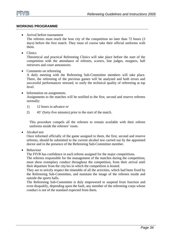

#### **WORKING PROGRAMME**

- Arrival before tournament The referees must reach the host city of the competition no later than 72 hours (3 days) before the first match. They must of course take their official uniforms with them.
- Clinics

Theoretical and practical Refereeing Clinics will take place before the start of the competition with the attendance of referees, scorers, line judges, moppers, ball retrievers and court announcers.

• Comments on refereeing

A daily meeting with the Refereeing Sub-Committee members will take place. There, the refereeing of the previous games will be analysed and both errors and successful performances stressed, to unify the technical quality of refereeing at top level.

- Information on assignments. Assignments to the matches will be notified to the first, second and reserve referees normally:
	- 1) 12 hours in advance *or*
	- 2) 45' (forty-five minutes) prior to the start of the match.

This procedure compels all the referees to remain available with their referee uniforms inside the referees' room.

• Alcohol test

Once informed officially of the game assigned to them, the first, second and reserve referees, should be submitted to the current alcohol test carried out by the appointed doctor and in the presence of the Refereeing Sub-Committee member.

• Behaviour

The FIVB has confidence in each referee assigned for the major competitions.

The referees responsible for the management of the matches during the competition, must show exemplary conduct throughout the competition, from their arrival until their departure from the city/ies in which the competition is hosted.

They are to strictly respect the timetable of all the activities, which had been fixed by the Refereeing Sub-Committee, and maintain the image of the referees inside and outside the sports halls.

The Refereeing Sub-Committee is duly empowered to suspend from function and even disqualify, depending upon the fault, any member of the refereeing corps whose conduct is not of the standard expected from them.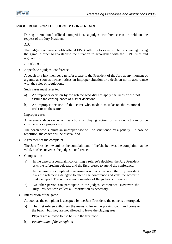

#### **PROCEDURE FOR THE JUDGES' CONFERENCE**

During international official competitions, a judges' conference can be held on the request of the Jury President.

*AIM* 

The judges' conference holds official FIVB authority to solve problems occurring during the game in order to re-establish the situation in accordance with the FIVB rules and regulations.

#### *PROCEDURE*

• Appeals to a judges' conference

A coach or a jury member can refer a case to the President of the Jury at any moment of a game, as soon as he/she notices an improper situation or a decision not in accordance with the rules or regulations.

Such cases must refer to:

- a) An improper decision by the referee who did not apply the rules or did not assume the consequences of his/her decisions
- b) An improper decision of the scorer who made a mistake on the rotational order or on the score.

#### Improper cases

A referee's decision which sanctions a playing action or misconduct cannot be considered as a proper case.

The coach who submits an improper case will be sanctioned by a penalty. In case of repetition, the coach will be disqualified.

• Agreement of the complaint

The Jury President examines the complaint and, if he/she believes the complaint may be valid, he/she convenes the judges' conference.

- **Composition** 
	- a) In the case of a complaint concerning a referee's decision, the Jury President asks the refereeing delegate and the first referee to attend the conference.
	- b) In the case of a complaint concerning a scorer's decision, the Jury President asks the refereeing delegate to attend the conference and calls the scorer to make a report. The scorer is not a member of the judges' conference.
	- c) No other person can participate in the judges' conference. However, the Jury President can collect all information as necessary.
- Interruption of the game

As soon as the complaint is accepted by the Jury President, the game is interrupted.

a) The first referee authorises the teams to leave the playing court and come to the bench, but they are not allowed to leave the playing area.

Players are allowed to use balls in the free zone.

b) *Examination of the complaint*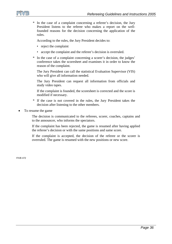

\* In the case of a complaint concerning a referee's decision, the Jury President listens to the referee who makes a report on the wellfounded reasons for the decision concerning the application of the rules.

According to the rules, the Jury President decides to:

- reject the complaint
- accept the complaint and the referee's decision is overruled.
- \* In the case of a complaint concerning a scorer's decision, the judges' conference takes the scoresheet and examines it in order to know the reason of the complaint.

 The Jury President can call the statistical Evaluation Supervisor (VIS) who will give all information needed.

 The Jury President can request all information from officials and study video tapes.

 If the complaint is founded, the scoresheet is corrected and the score is modified if necessary.

- \* If the case is not covered in the rules, the Jury President takes the decision after listening to the other members.
- To resume the game

 The decision is communicated to the referees, scorer, coaches, captains and to the announcer, who informs the spectators.

 If the complaint has been rejected, the game is resumed after having applied the referee's decision or with the same positions and same score.

 If the complaint is accepted, the decision of the referee or the scorer is overruled. The game is resumed with the new positions or new score.

FIVB 472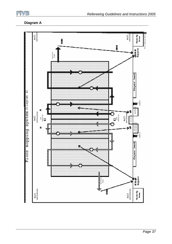

#### **Diagram A**